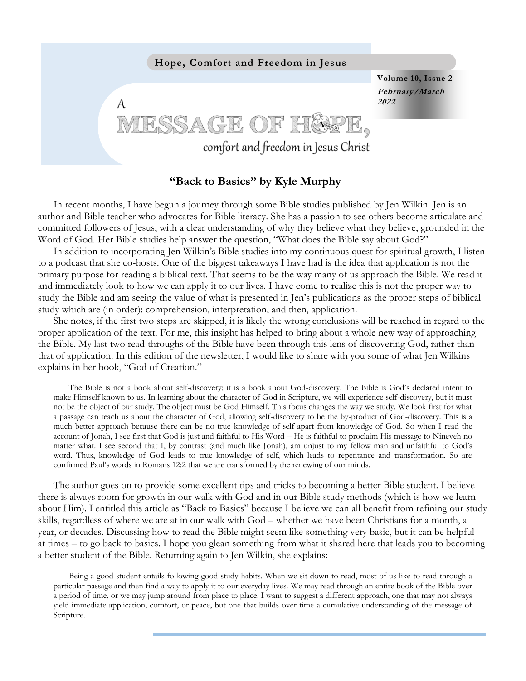

## **"Back to Basics" by Kyle Murphy**

In recent months, I have begun a journey through some Bible studies published by Jen Wilkin. Jen is an author and Bible teacher who advocates for Bible literacy. She has a passion to see others become articulate and committed followers of Jesus, with a clear understanding of why they believe what they believe, grounded in the Word of God. Her Bible studies help answer the question, "What does the Bible say about God?"

In addition to incorporating Jen Wilkin's Bible studies into my continuous quest for spiritual growth, I listen to a podcast that she co-hosts. One of the biggest takeaways I have had is the idea that application is not the primary purpose for reading a biblical text. That seems to be the way many of us approach the Bible. We read it and immediately look to how we can apply it to our lives. I have come to realize this is not the proper way to study the Bible and am seeing the value of what is presented in Jen's publications as the proper steps of biblical study which are (in order): comprehension, interpretation, and then, application.

She notes, if the first two steps are skipped, it is likely the wrong conclusions will be reached in regard to the proper application of the text. For me, this insight has helped to bring about a whole new way of approaching the Bible. My last two read-throughs of the Bible have been through this lens of discovering God, rather than that of application. In this edition of the newsletter, I would like to share with you some of what Jen Wilkins explains in her book, "God of Creation."

The Bible is not a book about self-discovery; it is a book about God-discovery. The Bible is God's declared intent to make Himself known to us. In learning about the character of God in Scripture, we will experience self-discovery, but it must not be the object of our study. The object must be God Himself. This focus changes the way we study. We look first for what a passage can teach us about the character of God, allowing self-discovery to be the by-product of God-discovery. This is a much better approach because there can be no true knowledge of self apart from knowledge of God. So when I read the account of Jonah, I see first that God is just and faithful to His Word – He is faithful to proclaim His message to Nineveh no matter what. I see second that I, by contrast (and much like Jonah), am unjust to my fellow man and unfaithful to God's word. Thus, knowledge of God leads to true knowledge of self, which leads to repentance and transformation. So are confirmed Paul's words in Romans 12:2 that we are transformed by the renewing of our minds.

The author goes on to provide some excellent tips and tricks to becoming a better Bible student. I believe there is always room for growth in our walk with God and in our Bible study methods (which is how we learn about Him). I entitled this article as "Back to Basics" because I believe we can all benefit from refining our study skills, regardless of where we are at in our walk with God – whether we have been Christians for a month, a year, or decades. Discussing how to read the Bible might seem like something very basic, but it can be helpful – at times – to go back to basics. I hope you glean something from what it shared here that leads you to becoming a better student of the Bible. Returning again to Jen Wilkin, she explains:

Being a good student entails following good study habits. When we sit down to read, most of us like to read through a particular passage and then find a way to apply it to our everyday lives. We may read through an entire book of the Bible over a period of time, or we may jump around from place to place. I want to suggest a different approach, one that may not always yield immediate application, comfort, or peace, but one that builds over time a cumulative understanding of the message of Scripture.